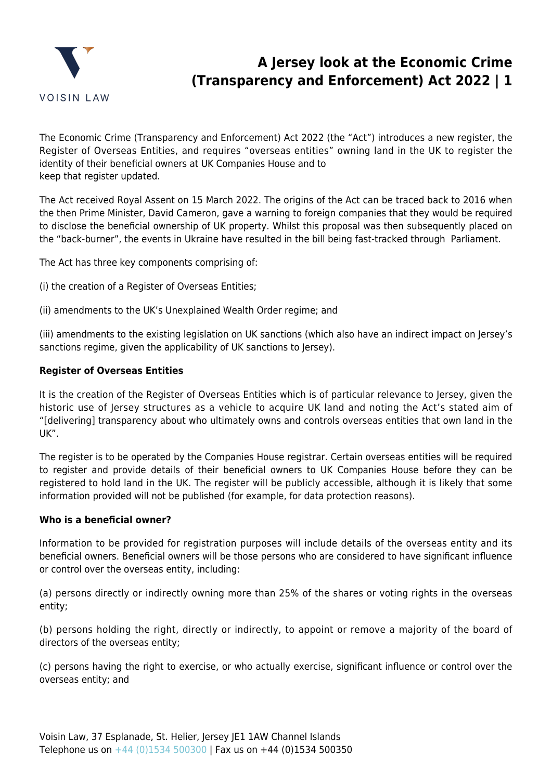

# **A Jersey look at the Economic Crime (Transparency and Enforcement) Act 2022 | 1**

The Economic Crime (Transparency and Enforcement) Act 2022 (the "Act") introduces a new register, the Register of Overseas Entities, and requires "overseas entities" owning land in the UK to register the identity of their beneficial owners at UK Companies House and to keep that register updated.

The Act received Royal Assent on 15 March 2022. The origins of the Act can be traced back to 2016 when the then Prime Minister, David Cameron, gave a warning to foreign companies that they would be required to disclose the beneficial ownership of UK property. Whilst this proposal was then subsequently placed on the "back-burner", the events in Ukraine have resulted in the bill being fast-tracked through Parliament.

The Act has three key components comprising of:

- (i) the creation of a Register of Overseas Entities;
- (ii) amendments to the UK's Unexplained Wealth Order regime; and

(iii) amendments to the existing legislation on UK sanctions (which also have an indirect impact on Jersey's sanctions regime, given the applicability of UK sanctions to Jersey).

#### **Register of Overseas Entities**

It is the creation of the Register of Overseas Entities which is of particular relevance to Jersey, given the historic use of Jersey structures as a vehicle to acquire UK land and noting the Act's stated aim of "[delivering] transparency about who ultimately owns and controls overseas entities that own land in the UK".

The register is to be operated by the Companies House registrar. Certain overseas entities will be required to register and provide details of their beneficial owners to UK Companies House before they can be registered to hold land in the UK. The register will be publicly accessible, although it is likely that some information provided will not be published (for example, for data protection reasons).

#### **Who is a beneficial owner?**

Information to be provided for registration purposes will include details of the overseas entity and its beneficial owners. Beneficial owners will be those persons who are considered to have significant influence or control over the overseas entity, including:

(a) persons directly or indirectly owning more than 25% of the shares or voting rights in the overseas entity;

(b) persons holding the right, directly or indirectly, to appoint or remove a majority of the board of directors of the overseas entity;

(c) persons having the right to exercise, or who actually exercise, significant influence or control over the overseas entity; and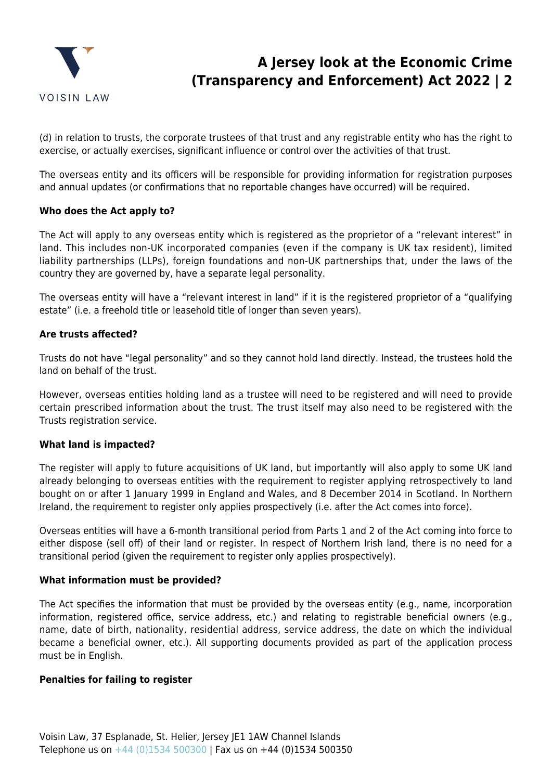

# **A Jersey look at the Economic Crime (Transparency and Enforcement) Act 2022 | 2**

(d) in relation to trusts, the corporate trustees of that trust and any registrable entity who has the right to exercise, or actually exercises, significant influence or control over the activities of that trust.

The overseas entity and its officers will be responsible for providing information for registration purposes and annual updates (or confirmations that no reportable changes have occurred) will be required.

### **Who does the Act apply to?**

The Act will apply to any overseas entity which is registered as the proprietor of a "relevant interest" in land. This includes non-UK incorporated companies (even if the company is UK tax resident), limited liability partnerships (LLPs), foreign foundations and non-UK partnerships that, under the laws of the country they are governed by, have a separate legal personality.

The overseas entity will have a "relevant interest in land" if it is the registered proprietor of a "qualifying estate" (i.e. a freehold title or leasehold title of longer than seven years).

### **Are trusts affected?**

Trusts do not have "legal personality" and so they cannot hold land directly. Instead, the trustees hold the land on behalf of the trust.

However, overseas entities holding land as a trustee will need to be registered and will need to provide certain prescribed information about the trust. The trust itself may also need to be registered with the Trusts registration service.

### **What land is impacted?**

The register will apply to future acquisitions of UK land, but importantly will also apply to some UK land already belonging to overseas entities with the requirement to register applying retrospectively to land bought on or after 1 January 1999 in England and Wales, and 8 December 2014 in Scotland. In Northern Ireland, the requirement to register only applies prospectively (i.e. after the Act comes into force).

Overseas entities will have a 6-month transitional period from Parts 1 and 2 of the Act coming into force to either dispose (sell off) of their land or register. In respect of Northern Irish land, there is no need for a transitional period (given the requirement to register only applies prospectively).

### **What information must be provided?**

The Act specifies the information that must be provided by the overseas entity (e.g., name, incorporation information, registered office, service address, etc.) and relating to registrable beneficial owners (e.g., name, date of birth, nationality, residential address, service address, the date on which the individual became a beneficial owner, etc.). All supporting documents provided as part of the application process must be in English.

### **Penalties for failing to register**